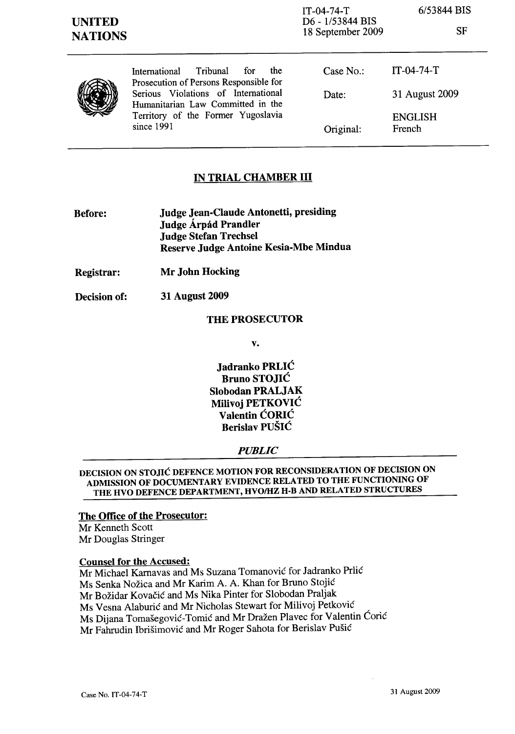SF



International Tribunal for the Prosecution of Persons Responsible for Serious Violations of International Humanitarian Law Committed in the Territory of the Former Yugoslavia since 1991

| Case No.  | $IT-04-74-T$             |
|-----------|--------------------------|
| Date:     | 31 August 2009           |
| Original: | <b>ENGLISH</b><br>French |

# IN TRIAL CHAMBER III

- Before: Judge Jean-Claude Antonetti, presiding Judge Árpád Prandler Judge Stefan Trechsel Reserve Judge Antoine Kesia-Mbe Mindua
- Registrar: Mr John Hocking
- Decision of: 31 August 2009

## THE PROSECUTOR

v.

Jadranko PRLIC Bruno STOJIC Slobodan PRALJAK Milivoj PETKOVIC Valentin CORIC Berislav PUŠIĆ

## *PUBLIC*

DECISION ON STOJIC DEFENCE MOTION FOR RECONSIDERATION OF DECISION ON ADMISSION OF DOCUMENTARY EVIDENCE RELATED TO THE FUNCTIONING OF THE HVO DEFENCE DEPARTMENT, HVO/HZ H-B AND RELATED STRUCTURES

#### The Office of the Prosecutor:

Mr Kenneth Scott Mr Douglas Stringer

#### Counsel for the Accused:

Mr Michael Karnavas and Ms Suzana Tomanović for Jadranko Prlić Ms Senka Nozica and Mr Karim A. A. Khan for Bruno Stojic Mr Bozidar Kovacic and Ms Nika Pinter for Slobodan Praljak Ms Vesna Alaburic and Mr Nicholas Stewart for Milivoj Petkovic Ms Dijana Tomasegovic-Tomic and Mr Drazen Plavec for Valentin Coric Mr Fahrudin Ibrisimovic and Mr Roger Sahota for Berislav Pusic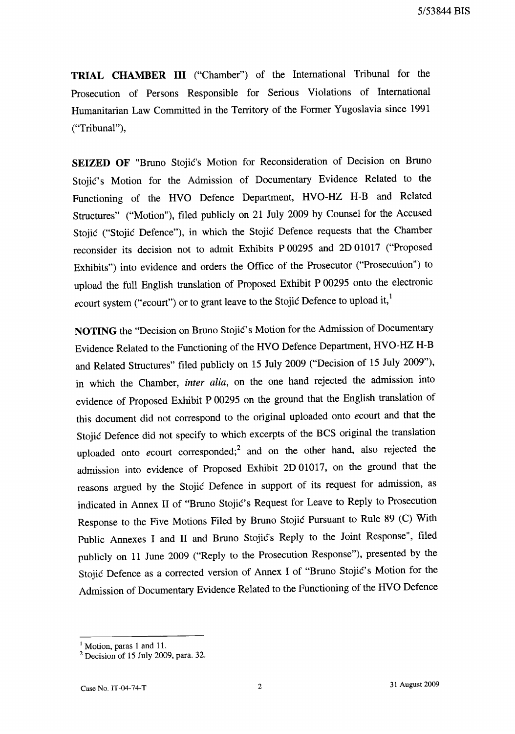**TRIAL CHAMBER III** ("Chamber") of the International Tribunal for the Prosecution of Persons Responsible for Serious Violations of International Humanitarian Law Committed in the Territory of the Former Yugoslavia since 1991 ("Tribunal"),

**SEIZED OF** "Bruno Stojic's Motion for Reconsideration of Decision on Bruno Stojić's Motion for the Admission of Documentary Evidence Related to the Functioning of the HVO Defence Department, HVO-HZ H-B and Related Structures" ("Motion"), filed publicly on 21 July 2009 by Counsel for the Accused Stojic ("Stojic Defence"), in which the Stojic Defence requests that the Chamber reconsider its decision not to admit Exhibits P 00295 and 2D 01017 ("Proposed Exhibits") into evidence and orders the Office of the Prosecutor ("Prosecution") to upload the full English translation of Proposed Exhibit P 00295 onto the electronic *ecourt system ("ecourt") or to grant leave to the Stojic Defence to upload it,* 

NOTING the "Decision on Bruno Stojić's Motion for the Admission of Documentary Evidence Related to the Functioning of the HVO Defence Department, HVO-HZ H-B and Related Structures" filed publicly on 15 July 2009 ("Decision of 15 July 2009"), in which the Chamber, *inter alia,* on the one hand rejected the admission into evidence of Proposed Exhibit P 00295 on the ground that the English translation of this document did not correspond to the original uploaded onto *ecourt* and that the Stojic Defence did not specify to which excerpts of the BCS original the translation uploaded onto *ecourt* corresponded;2 and on the other hand, also rejected the admission into evidence of Proposed Exhibit 2D 01017, on the ground that the reasons argued by the Stojic Defence in support of its request for admission, as indicated in Annex II of "Bruno Stojić's Request for Leave to Reply to Prosecution Response to the Five Motions Filed by Bruno Stojic Pursuant to Rule 89 (C) With Public Annexes I and II and Bruno Stojic's Reply to the Joint Response", filed publicly on 11 June 2009 ("Reply to the Prosecution Response"), presented by the Stojic Defence as a corrected version of Annex I of "Bruno Stojic's Motion for the Admission of Documentary Evidence Related to the Functioning of the HVO Defence

<sup>&</sup>lt;sup>1</sup> Motion, paras 1 and 11.

 $2$  Decision of 15 July 2009, para. 32.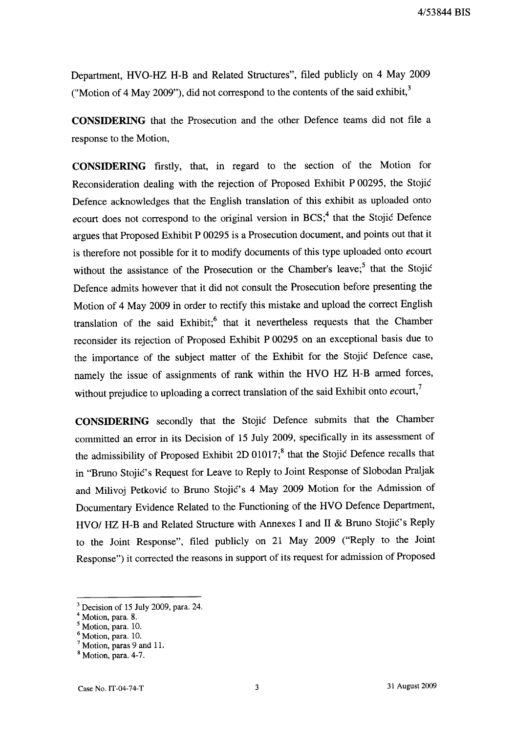Department, HVO-HZ H-B and Related Structures", filed publicly on 4 May 2009 ("Motion of 4 May 2009"), did not correspond to the contents of the said exhibit, $3$ 

**CONSIDERING** that the Prosecution and the other Defence teams did not file a response to the Motion,

**CONSIDERING** firstly, that, in regard to the section of the Motion for Reconsideration dealing with the rejection of Proposed Exhibit P 00295, the Stojic Defence acknowledges that the English translation of this exhibit as uploaded onto *ecourt does not correspond to the original version in BCS*;<sup>4</sup> that the Stojic Defence argues that Proposed Exhibit P 00295 is a Prosecution document, and points out that it is therefore not possible for it to modify documents of this type uploaded onto *ecourt*  without the assistance of the Prosecution or the Chamber's leave;<sup>5</sup> that the Stojić Defence admits however that it did not consult the Prosecution before presenting the Motion of 4 May 2009 in order to rectify this mistake and upload the correct English translation of the said  $Exhibit$ <sup>6</sup> that it nevertheless requests that the Chamber reconsider its rejection of Proposed Exhibit P 00295 on an exceptional basis due to the importance of the subject matter of the Exhibit for the Stojic Defence case, namely the issue of assignments of rank within the HVO HZ H-B armed forces, without prejudice to uploading a correct translation of the said Exhibit onto *ecourt,7* 

**CONSIDERING** secondly that the Stojic Defence submits that the Chamber committed an error in its Decision of 15 July 2009, specifically in its assessment of the admissibility of Proposed Exhibit 2D 01017;<sup>8</sup> that the Stojic Defence recalls that in "Bruno Stojić's Request for Leave to Reply to Joint Response of Slobodan Praljak and Milivoj Petkovic to Bruno Stojic's 4 May 2009 Motion for the Admission of Documentary Evidence Related to the Functioning of the HVO Defence Department, HVO/ HZ H-B and Related Structure with Annexes I and II & Bruno Stojić's Reply to the Joint Response", filed publicly on 21 May 2009 ("Reply to the Joint Response") it corrected the reasons in support of its request for admission of Proposed

<sup>3</sup> Decision of 15 July 2009, para. 24.

<sup>&</sup>lt;sup>4</sup> Motion, para. 8.

Motion, para. 10.

<sup>6</sup> Motion, para. 10.

 $7$  Motion, paras 9 and 11.

 $<sup>8</sup>$  Motion, para. 4-7.</sup>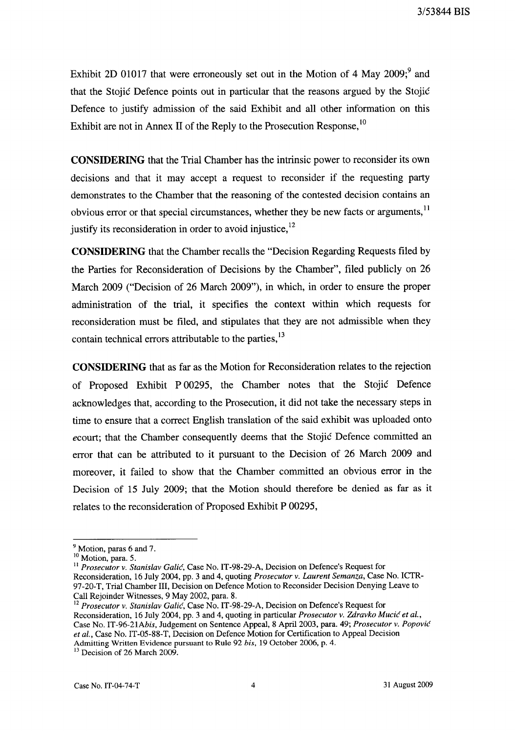Exhibit 2D 01017 that were erroneously set out in the Motion of 4 May 2009; $9^{\circ}$  and that the Stojic Defence points out in particular that the reasons argued by the Stojic Defence to justify admission of the said Exhibit and all other information on this Exhibit are not in Annex II of the Reply to the Prosecution Response,  $10$ 

**CONSIDERING** that the Trial Chamber has the intrinsic power to reconsider its own decisions and that it may accept a request to reconsider if the requesting party demonstrates to the Chamber that the reasoning of the contested decision contains an obvious error or that special circumstances, whether they be new facts or arguments,<sup>11</sup> justify its reconsideration in order to avoid injustice,  $12$ 

**CONSIDERING** that the Chamber recalls the "Decision Regarding Requests filed by the Parties for Reconsideration of Decisions by the Chamber", filed publicly on 26 March 2009 ("Decision of 26 March 2009"), in which, in order to ensure the proper administration of the trial, it specifies the context within which requests for reconsideration must be filed, and stipulates that they are not admissible when they contain technical errors attributable to the parties,  $13$ 

**CONSIDERING** that as far as the Motion for Reconsideration relates to the rejection of Proposed Exhibit P 00295, the Chamber notes that the Stojic Defence acknowledges that, according to the Prosecution, it did not take the necessary steps in time to ensure that a correct English translation of the said exhibit was uploaded onto *ecourt;* that the Chamber consequently deems that the Stojic Defence committed an error that can be attributed to it pursuant to the Decision of 26 March 2009 and moreover, it failed to show that the Chamber committed an obvious error in the Decision of 15 July 2009; that the Motion should therefore be denied as far as it relates to the reconsideration of Proposed Exhibit P 00295,

<sup>&</sup>lt;sup>9</sup> Motion, paras 6 and 7.

<sup>&</sup>lt;sup>10</sup> Motion, para. 5.

<sup>11</sup>*Prosecutor v. Stanislav Galic,* Case No. IT-98-29-A, Decision on Defence's Request for Reconsideration, 16 July 2004, pp. 3 and 4, quoting *Prosecutor v. Laurent Semanza,* Case No. ICTR-97-20-T, Trial Chamber III, Decision on Defence Motion to Reconsider Decision Denying Leave to Call Rejoinder Witnesses, 9 May 2002, para. 8.

<sup>12</sup>*Prosecutor v. Stanislav Galic,* Case No. IT-98-29-A, Decision on Defence's Request for Reconsideration, 16 July 2004, pp. 3 and 4, quoting in particular *Prosecutor v. Zdravko Mucic et al.,*  Case No. *IT-96-21Abis,* Judgement on Sentence Appeal, 8 April 2003, para. 49; *Prosecutor v. Popovic et al.,* Case No. IT -05-88-T, Decision on Defence Motion for Certification to Appeal Decision Admitting Written Evidence pursuant to Rule 92 *his,* 19 October 2006, p. 4.

<sup>&</sup>lt;sup>13</sup> Decision of 26 March 2009.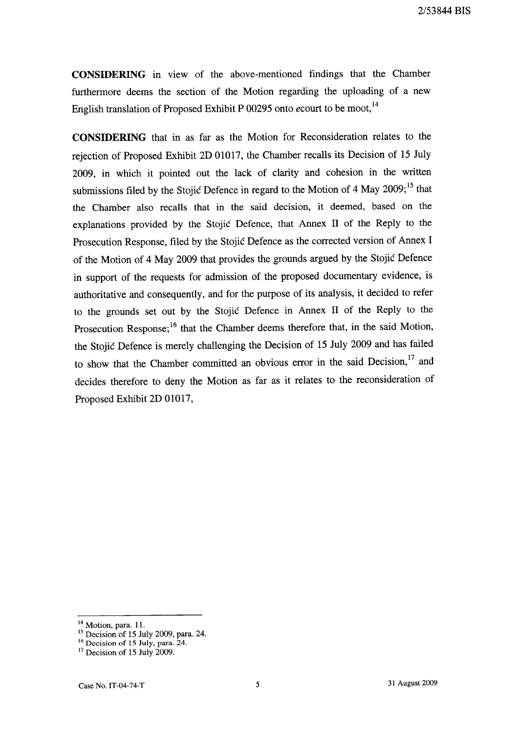**CONSIDERING** in view of the above-mentioned findings that the Chamber furthermore deems the section of the Motion regarding the uploading of a new English translation of Proposed Exhibit P 00295 onto *ecourt* to be moot, 14

**CONSIDERING** that in as far as the Motion for Reconsideration relates to the rejection of Proposed Exhibit 2D 01017, the Chamber recalls its Decision of 15 July 2009, in which it pointed out the lack of clarity and cohesion in the written submissions filed by the Stojic Defence in regard to the Motion of 4 May 2009;<sup>15</sup> that the Chamber also recalls that in the said decision, it deemed, based on the explanations provided by the Stojic Defence, that Annex II of the Reply to the Prosecution Response, filed by the Stojic Defence as the corrected version of Annex I of the Motion of 4 May 2009 that provides the grounds argued by the Stojic Defence in support of the requests for admission of the proposed documentary evidence, is authoritative and consequently, and for the purpose of its analysis, it decided to refer to the grounds set out by the Stojic Defence in Annex II of the Reply to the Prosecution Response;<sup>16</sup> that the Chamber deems therefore that, in the said Motion, the Stojic Defence is merely challenging the Decision of 15 July 2009 and has failed to show that the Chamber committed an obvious error in the said Decision,<sup>17</sup> and decides therefore to deny the Motion as far as it relates to the reconsideration of Proposed Exhibit 2D 01017,

<sup>&</sup>lt;sup>14</sup> Motion, para. 11.

<sup>15</sup> Decision of 15 July 2009, para. 24.

<sup>&</sup>lt;sup>16</sup> Decision of 15 July, para. 24.

<sup>&</sup>lt;sup>17</sup> Decision of 15 July 2009.